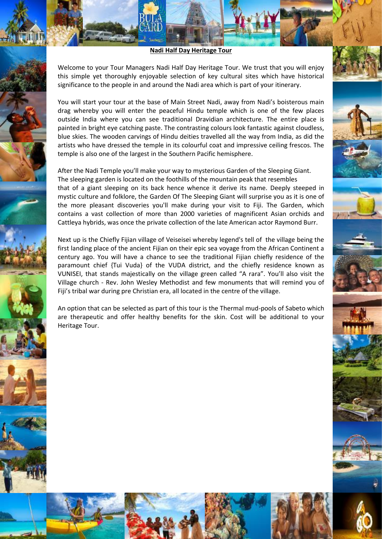## **Nadi Half Day Heritage Tour**

Welcome to your Tour Managers Nadi Half Day Heritage Tour. We trust that you will enjoy this simple yet thoroughly enjoyable selection of key cultural sites which have historical significance to the people in and around the Nadi area which is part of your itinerary.

You will start your tour at the base of Main Street Nadi, away from Nadi's boisterous main drag whereby you will enter the peaceful Hindu temple which is one of the few places outside India where you can see traditional Dravidian architecture. The entire place is painted in bright eye catching paste. The contrasting colours look fantastic against cloudless, blue skies. The wooden carvings of Hindu deities travelled all the way from India, as did the artists who have dressed the temple in its colourful coat and impressive ceiling frescos. The temple is also one of the largest in the Southern Pacific hemisphere.

After the Nadi Temple you'll make your way to mysterious Garden of the Sleeping Giant. The sleeping garden is located on the foothills of the mountain peak that resembles that of a giant sleeping on its back hence whence it derive its name. Deeply steeped in mystic culture and folklore, the Garden Of The Sleeping Giant will surprise you as it is one of the more pleasant discoveries you'll make during your visit to Fiji. The Garden, which contains a vast collection of more than 2000 varieties of magnificent Asian orchids and Cattleya hybrids, was once the private collection of the late American actor Raymond Burr.

Next up is the Chiefly Fijian village of Veiseisei whereby legend's tell of the village being the first landing place of the ancient Fijian on their epic sea voyage from the African Continent a century ago. You will have a chance to see the traditional Fijian chiefly residence of the paramount chief {Tui Vuda} of the VUDA district, and the chiefly residence known as VUNISEI, that stands majestically on the village green called "A rara". You'll also visit the Village church - Rev. John Wesley Methodist and few monuments that will remind you of Fiji's tribal war during pre Christian era, all located in the centre of the village.

An option that can be selected as part of this tour is the Thermal mud-pools of Sabeto which are therapeutic and offer healthy benefits for the skin. Cost will be additional to your Heritage Tour.